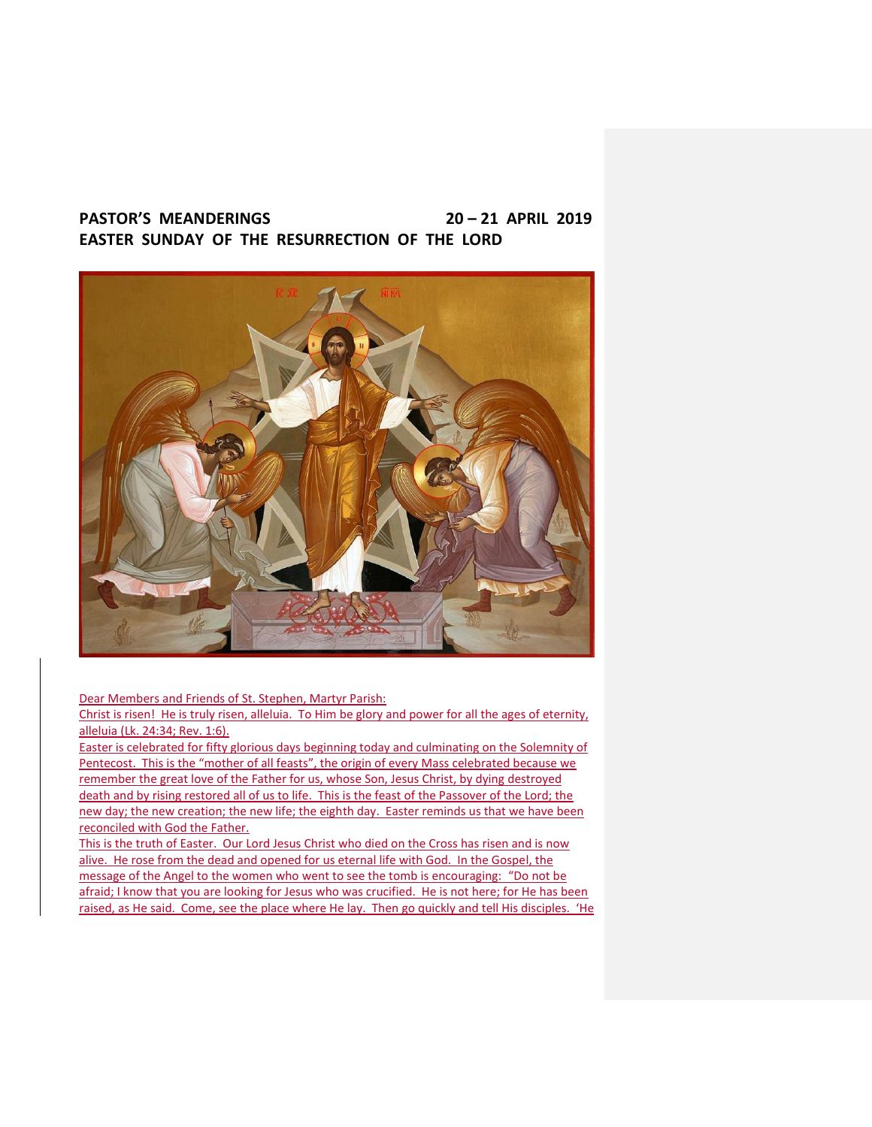# **PASTOR'S MEANDERINGS 20 – 21 APRIL 2019 EASTER SUNDAY OF THE RESURRECTION OF THE LORD**



Dear Members and Friends of St. Stephen, Martyr Parish:

Christ is risen! He is truly risen, alleluia. To Him be glory and power for all the ages of eternity, alleluia (Lk. 24:34; Rev. 1:6).

Easter is celebrated for fifty glorious days beginning today and culminating on the Solemnity of Pentecost. This is the "mother of all feasts", the origin of every Mass celebrated because we remember the great love of the Father for us, whose Son, Jesus Christ, by dying destroyed death and by rising restored all of us to life. This is the feast of the Passover of the Lord; the new day; the new creation; the new life; the eighth day. Easter reminds us that we have been reconciled with God the Father.

This is the truth of Easter. Our Lord Jesus Christ who died on the Cross has risen and is now alive. He rose from the dead and opened for us eternal life with God. In the Gospel, the message of the Angel to the women who went to see the tomb is encouraging: "Do not be afraid; I know that you are looking for Jesus who was crucified. He is not here; for He has been raised, as He said. Come, see the place where He lay. Then go quickly and tell His disciples. 'He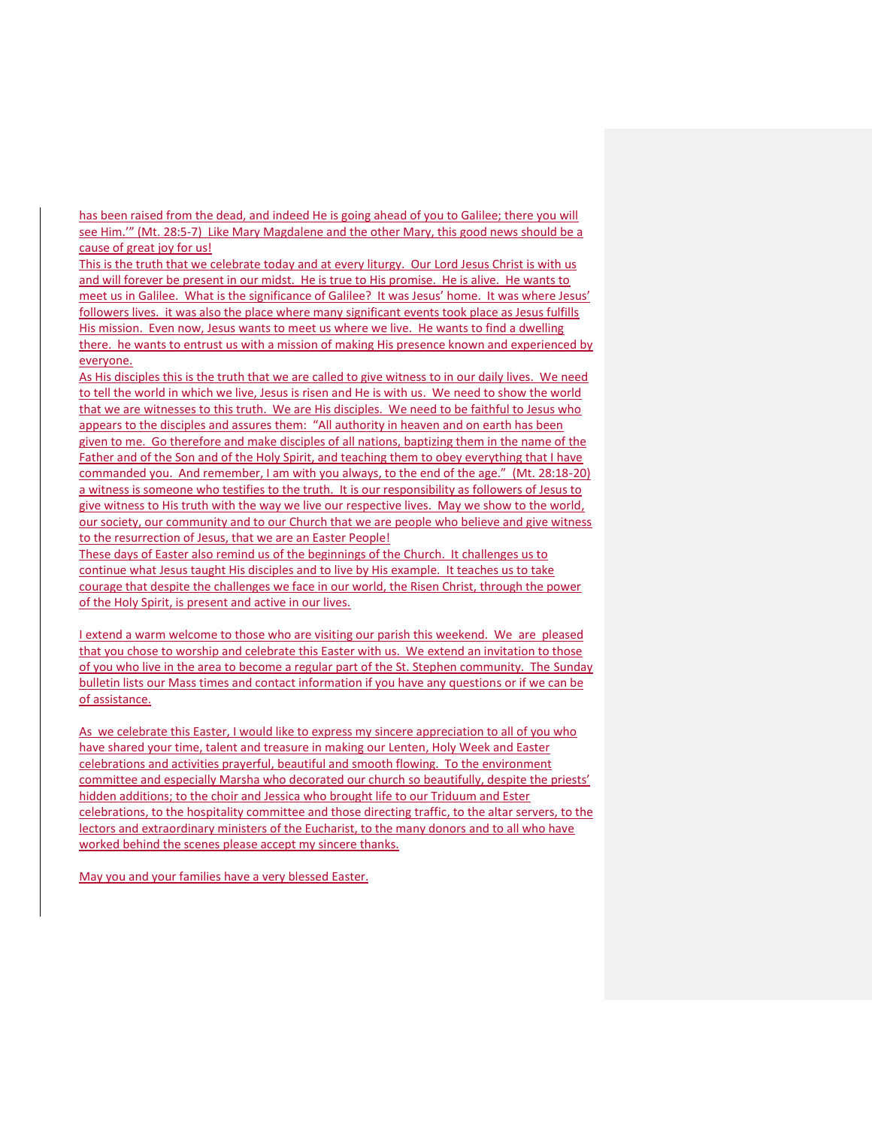has been raised from the dead, and indeed He is going ahead of you to Galilee; there you will see Him.'" (Mt. 28:5-7) Like Mary Magdalene and the other Mary, this good news should be a cause of great joy for us!

This is the truth that we celebrate today and at every liturgy. Our Lord Jesus Christ is with us and will forever be present in our midst. He is true to His promise. He is alive. He wants to meet us in Galilee. What is the significance of Galilee? It was Jesus' home. It was where Jesus' followers lives. it was also the place where many significant events took place as Jesus fulfills His mission. Even now, Jesus wants to meet us where we live. He wants to find a dwelling there. he wants to entrust us with a mission of making His presence known and experienced by everyone.

As His disciples this is the truth that we are called to give witness to in our daily lives. We need to tell the world in which we live, Jesus is risen and He is with us. We need to show the world that we are witnesses to this truth. We are His disciples. We need to be faithful to Jesus who appears to the disciples and assures them: "All authority in heaven and on earth has been given to me. Go therefore and make disciples of all nations, baptizing them in the name of the Father and of the Son and of the Holy Spirit, and teaching them to obey everything that I have commanded you. And remember, I am with you always, to the end of the age." (Mt. 28:18-20) a witness is someone who testifies to the truth. It is our responsibility as followers of Jesus to give witness to His truth with the way we live our respective lives. May we show to the world, our society, our community and to our Church that we are people who believe and give witness to the resurrection of Jesus, that we are an Easter People!

These days of Easter also remind us of the beginnings of the Church. It challenges us to continue what Jesus taught His disciples and to live by His example. It teaches us to take courage that despite the challenges we face in our world, the Risen Christ, through the power of the Holy Spirit, is present and active in our lives.

I extend a warm welcome to those who are visiting our parish this weekend. We are pleased that you chose to worship and celebrate this Easter with us. We extend an invitation to those of you who live in the area to become a regular part of the St. Stephen community. The Sunday bulletin lists our Mass times and contact information if you have any questions or if we can be of assistance.

As we celebrate this Easter, I would like to express my sincere appreciation to all of you who have shared your time, talent and treasure in making our Lenten, Holy Week and Easter celebrations and activities prayerful, beautiful and smooth flowing. To the environment committee and especially Marsha who decorated our church so beautifully, despite the priests' hidden additions; to the choir and Jessica who brought life to our Triduum and Ester celebrations, to the hospitality committee and those directing traffic, to the altar servers, to the lectors and extraordinary ministers of the Eucharist, to the many donors and to all who have worked behind the scenes please accept my sincere thanks.

May you and your families have a very blessed Easter.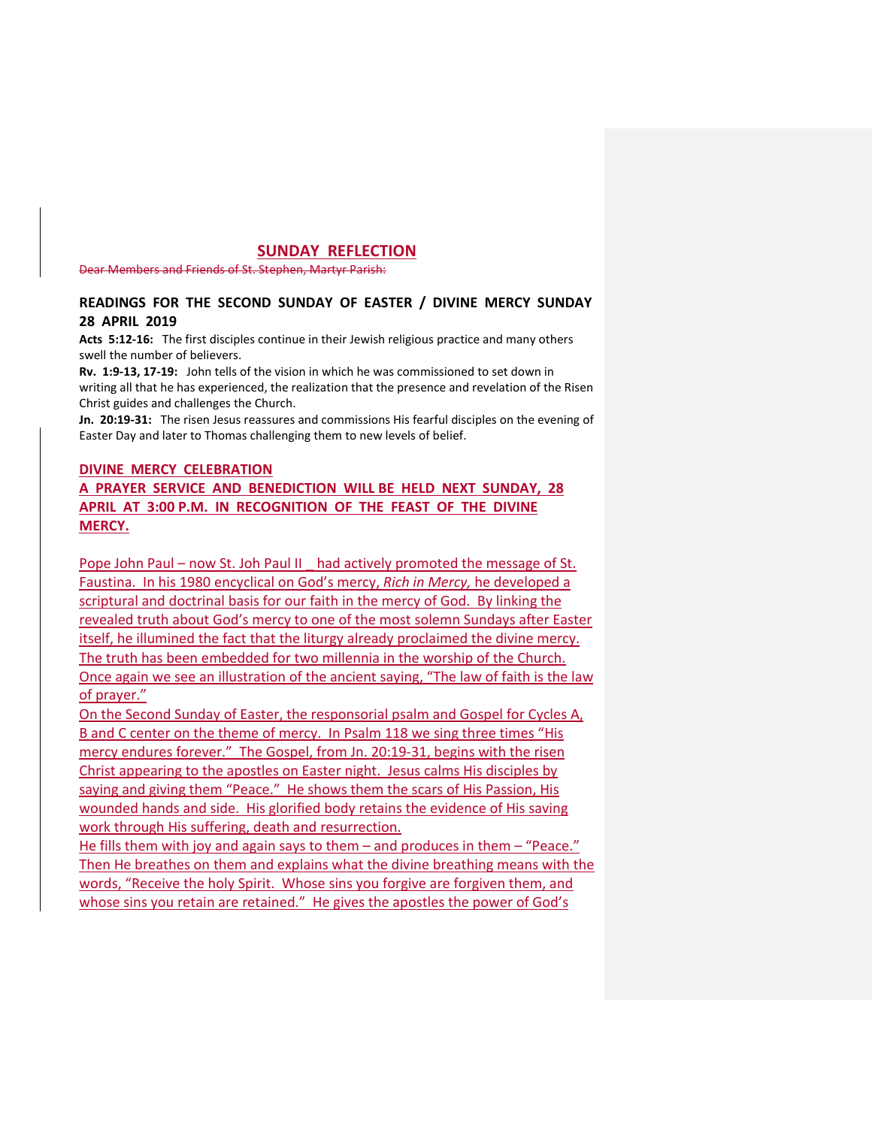## **SUNDAY REFLECTION**

Dear Members and Friends of St. Stephen, Martyr Parish:

## **READINGS FOR THE SECOND SUNDAY OF EASTER / DIVINE MERCY SUNDAY 28 APRIL 2019**

**Acts 5:12-16:** The first disciples continue in their Jewish religious practice and many others swell the number of believers.

**Rv. 1:9-13, 17-19:** John tells of the vision in which he was commissioned to set down in writing all that he has experienced, the realization that the presence and revelation of the Risen Christ guides and challenges the Church.

**Jn. 20:19-31:** The risen Jesus reassures and commissions His fearful disciples on the evening of Easter Day and later to Thomas challenging them to new levels of belief.

## **DIVINE MERCY CELEBRATION**

**A PRAYER SERVICE AND BENEDICTION WILL BE HELD NEXT SUNDAY, 28 APRIL AT 3:00 P.M. IN RECOGNITION OF THE FEAST OF THE DIVINE MERCY.**

Pope John Paul – now St. Joh Paul II \_ had actively promoted the message of St. Faustina. In his 1980 encyclical on God's mercy, *Rich in Mercy,* he developed a scriptural and doctrinal basis for our faith in the mercy of God. By linking the revealed truth about God's mercy to one of the most solemn Sundays after Easter itself, he illumined the fact that the liturgy already proclaimed the divine mercy. The truth has been embedded for two millennia in the worship of the Church. Once again we see an illustration of the ancient saying, "The law of faith is the law of prayer."

On the Second Sunday of Easter, the responsorial psalm and Gospel for Cycles A, B and C center on the theme of mercy. In Psalm 118 we sing three times "His mercy endures forever." The Gospel, from Jn. 20:19-31, begins with the risen Christ appearing to the apostles on Easter night. Jesus calms His disciples by saying and giving them "Peace." He shows them the scars of His Passion, His wounded hands and side. His glorified body retains the evidence of His saving work through His suffering, death and resurrection.

He fills them with joy and again says to them – and produces in them – "Peace." Then He breathes on them and explains what the divine breathing means with the words, "Receive the holy Spirit. Whose sins you forgive are forgiven them, and whose sins you retain are retained." He gives the apostles the power of God's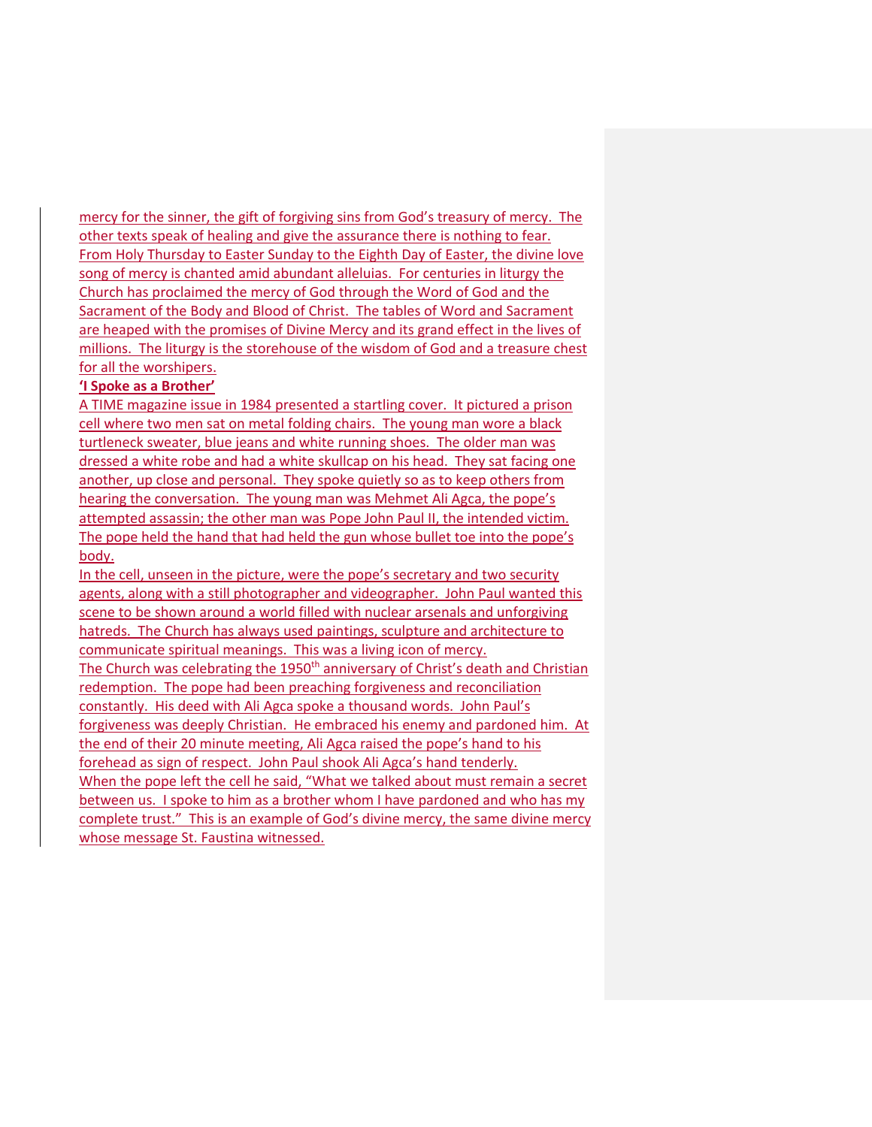mercy for the sinner, the gift of forgiving sins from God's treasury of mercy. The other texts speak of healing and give the assurance there is nothing to fear. From Holy Thursday to Easter Sunday to the Eighth Day of Easter, the divine love song of mercy is chanted amid abundant alleluias. For centuries in liturgy the Church has proclaimed the mercy of God through the Word of God and the Sacrament of the Body and Blood of Christ. The tables of Word and Sacrament are heaped with the promises of Divine Mercy and its grand effect in the lives of millions. The liturgy is the storehouse of the wisdom of God and a treasure chest for all the worshipers.

## **'I Spoke as a Brother'**

A TIME magazine issue in 1984 presented a startling cover. It pictured a prison cell where two men sat on metal folding chairs. The young man wore a black turtleneck sweater, blue jeans and white running shoes. The older man was dressed a white robe and had a white skullcap on his head. They sat facing one another, up close and personal. They spoke quietly so as to keep others from hearing the conversation. The young man was Mehmet Ali Agca, the pope's attempted assassin; the other man was Pope John Paul II, the intended victim. The pope held the hand that had held the gun whose bullet toe into the pope's body.

In the cell, unseen in the picture, were the pope's secretary and two security agents, along with a still photographer and videographer. John Paul wanted this scene to be shown around a world filled with nuclear arsenals and unforgiving hatreds. The Church has always used paintings, sculpture and architecture to communicate spiritual meanings. This was a living icon of mercy. The Church was celebrating the 1950<sup>th</sup> anniversary of Christ's death and Christian redemption. The pope had been preaching forgiveness and reconciliation constantly. His deed with Ali Agca spoke a thousand words. John Paul's forgiveness was deeply Christian. He embraced his enemy and pardoned him. At the end of their 20 minute meeting, Ali Agca raised the pope's hand to his forehead as sign of respect. John Paul shook Ali Agca's hand tenderly. When the pope left the cell he said, "What we talked about must remain a secret between us. I spoke to him as a brother whom I have pardoned and who has my complete trust." This is an example of God's divine mercy, the same divine mercy whose message St. Faustina witnessed.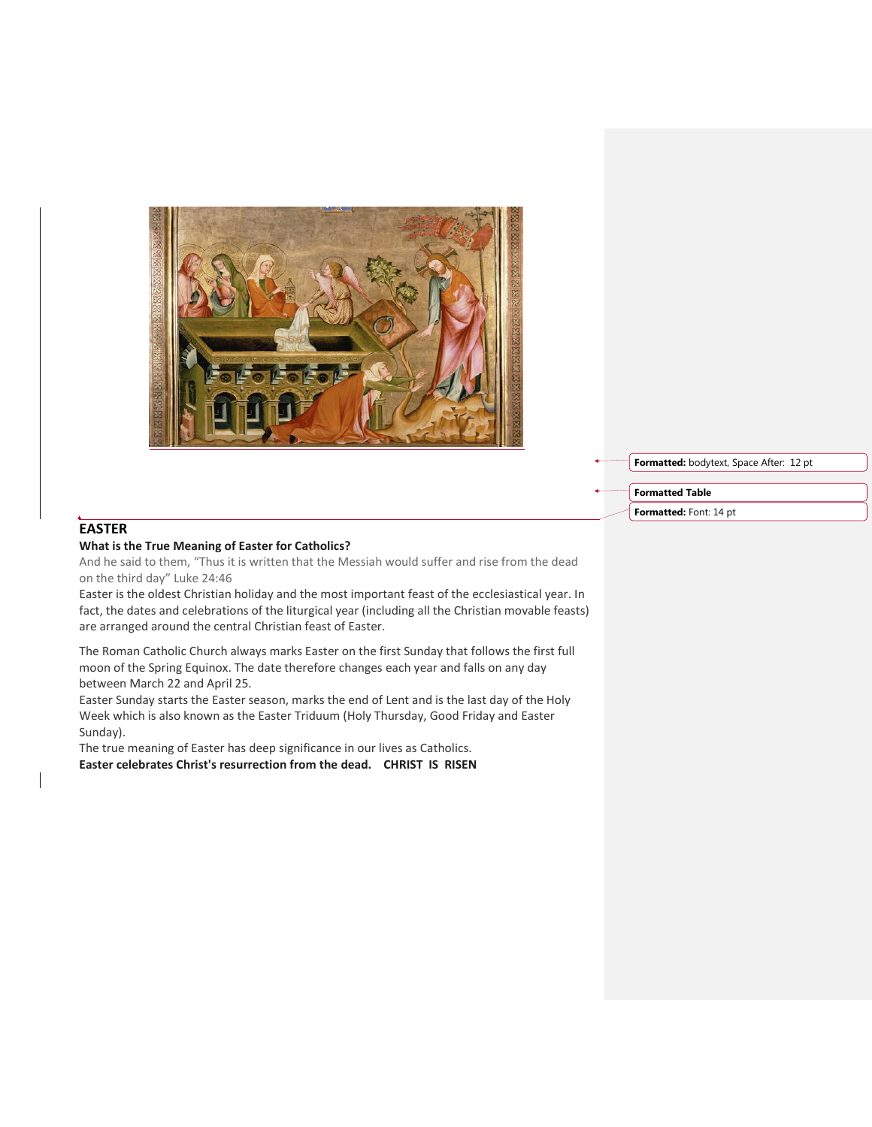

**Formatted:** bodytext, Space After: 12 pt

**Formatted Table**

**Formatted:** Font: 14 pt

# **EASTER**

## **What is the True Meaning of Easter for Catholics?**

And he said to them, "Thus it is written that the Messiah would suffer and rise from the dead on the third day" Luke 24:46

Easter is the oldest Christian holiday and the most important feast of the ecclesiastical year. In fact, the dates and celebrations of the liturgical year (including all the Christian movable feasts) are arranged around the central Christian feast of Easter.

The Roman Catholic Church always marks Easter on the first Sunday that follows the first full moon of the Spring Equinox. The date therefore changes each year and falls on any day between March 22 and April 25.

Easter Sunday starts the Easter season, marks the end of Lent and is the last day of the Holy Week which is also known as the Easter Triduum (Holy Thursday, Good Friday and Easter Sunday).

The true meaning of Easter has deep significance in our lives as Catholics. **Easter celebrates Christ's resurrection from the dead. CHRIST IS RISEN**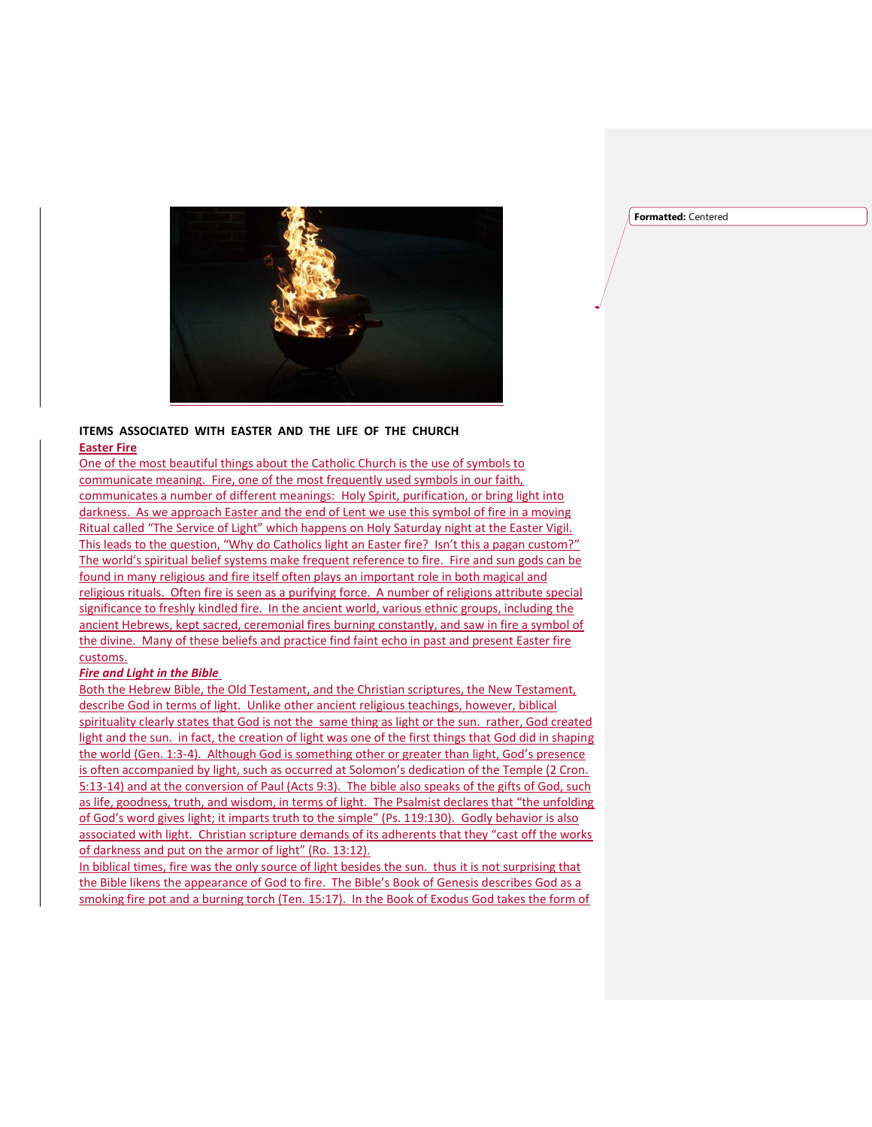**Formatted:** Centered



#### **ITEMS ASSOCIATED WITH EASTER AND THE LIFE OF THE CHURCH Easter Fire**

One of the most beautiful things about the Catholic Church is the use of symbols to communicate meaning. Fire, one of the most frequently used symbols in our faith, communicates a number of different meanings: Holy Spirit, purification, or bring light into darkness. As we approach Easter and the end of Lent we use this symbol of fire in a moving Ritual called "The Service of Light" which happens on Holy Saturday night at the Easter Vigil. This leads to the question, "Why do Catholics light an Easter fire? Isn't this a pagan custom?" The world's spiritual belief systems make frequent reference to fire. Fire and sun gods can be found in many religious and fire itself often plays an important role in both magical and religious rituals. Often fire is seen as a purifying force. A number of religions attribute special significance to freshly kindled fire. In the ancient world, various ethnic groups, including the ancient Hebrews, kept sacred, ceremonial fires burning constantly, and saw in fire a symbol of the divine. Many of these beliefs and practice find faint echo in past and present Easter fire customs.

#### *Fire and Light in the Bible*

Both the Hebrew Bible, the Old Testament, and the Christian scriptures, the New Testament, describe God in terms of light. Unlike other ancient religious teachings, however, biblical spirituality clearly states that God is not the same thing as light or the sun. rather, God created light and the sun. in fact, the creation of light was one of the first things that God did in shaping the world (Gen. 1:3-4). Although God is something other or greater than light, God's presence is often accompanied by light, such as occurred at Solomon's dedication of the Temple (2 Cron. 5:13-14) and at the conversion of Paul (Acts 9:3). The bible also speaks of the gifts of God, such as life, goodness, truth, and wisdom, in terms of light. The Psalmist declares that "the unfolding of God's word gives light; it imparts truth to the simple" (Ps. 119:130). Godly behavior is also associated with light. Christian scripture demands of its adherents that they "cast off the works of darkness and put on the armor of light" (Ro. 13:12).

In biblical times, fire was the only source of light besides the sun. thus it is not surprising that the Bible likens the appearance of God to fire. The Bible's Book of Genesis describes God as a smoking fire pot and a burning torch (Ten. 15:17). In the Book of Exodus God takes the form of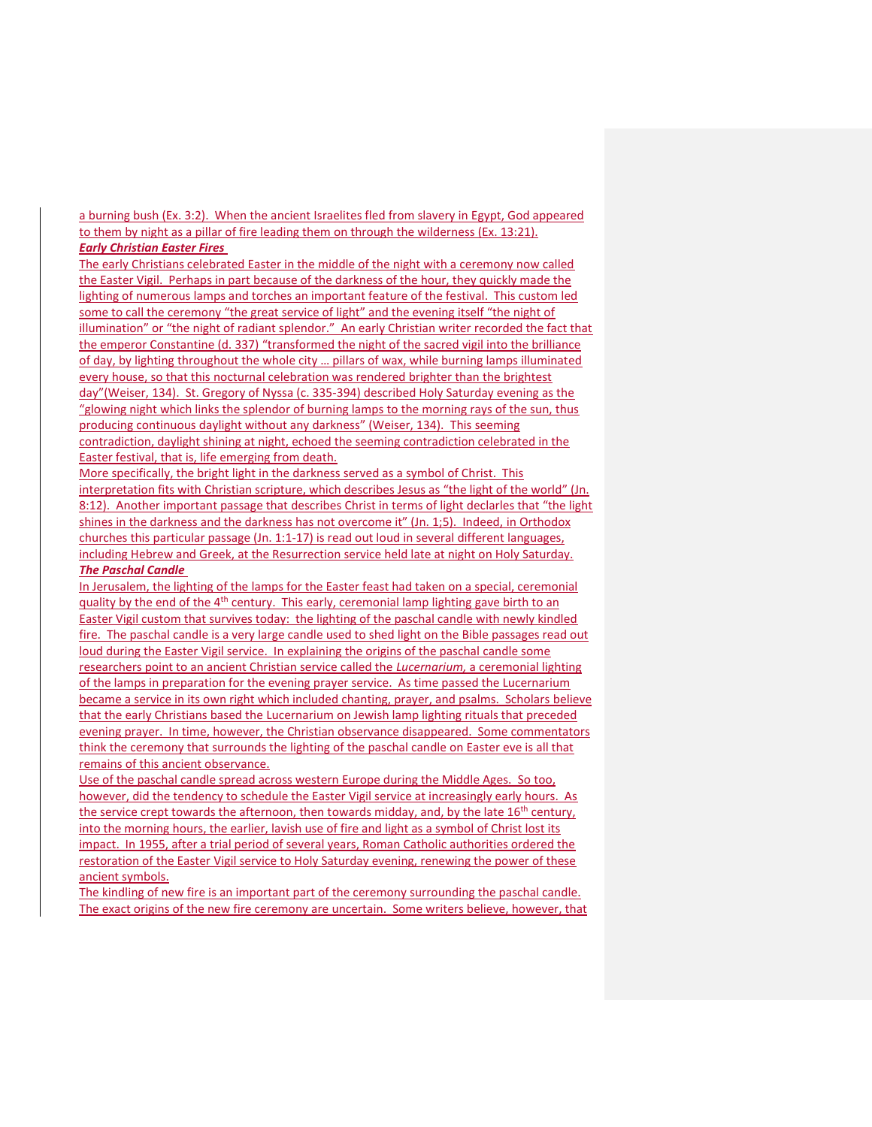a burning bush (Ex. 3:2). When the ancient Israelites fled from slavery in Egypt, God appeared to them by night as a pillar of fire leading them on through the wilderness (Ex. 13:21). *Early Christian Easter Fires*

The early Christians celebrated Easter in the middle of the night with a ceremony now called the Easter Vigil. Perhaps in part because of the darkness of the hour, they quickly made the lighting of numerous lamps and torches an important feature of the festival. This custom led some to call the ceremony "the great service of light" and the evening itself "the night of illumination" or "the night of radiant splendor." An early Christian writer recorded the fact that the emperor Constantine (d. 337) "transformed the night of the sacred vigil into the brilliance of day, by lighting throughout the whole city … pillars of wax, while burning lamps illuminated every house, so that this nocturnal celebration was rendered brighter than the brightest day"(Weiser, 134). St. Gregory of Nyssa (c. 335-394) described Holy Saturday evening as the "glowing night which links the splendor of burning lamps to the morning rays of the sun, thus producing continuous daylight without any darkness" (Weiser, 134). This seeming contradiction, daylight shining at night, echoed the seeming contradiction celebrated in the Easter festival, that is, life emerging from death.

More specifically, the bright light in the darkness served as a symbol of Christ. This interpretation fits with Christian scripture, which describes Jesus as "the light of the world" (Jn. 8:12). Another important passage that describes Christ in terms of light declarles that "the light shines in the darkness and the darkness has not overcome it" (Jn. 1;5). Indeed, in Orthodox churches this particular passage (Jn. 1:1-17) is read out loud in several different languages, including Hebrew and Greek, at the Resurrection service held late at night on Holy Saturday. *The Paschal Candle*

In Jerusalem, the lighting of the lamps for the Easter feast had taken on a special, ceremonial quality by the end of the 4<sup>th</sup> century. This early, ceremonial lamp lighting gave birth to an Easter Vigil custom that survives today: the lighting of the paschal candle with newly kindled fire. The paschal candle is a very large candle used to shed light on the Bible passages read out loud during the Easter Vigil service. In explaining the origins of the paschal candle some researchers point to an ancient Christian service called the *Lucernarium,* a ceremonial lighting of the lamps in preparation for the evening prayer service. As time passed the Lucernarium became a service in its own right which included chanting, prayer, and psalms. Scholars believe that the early Christians based the Lucernarium on Jewish lamp lighting rituals that preceded evening prayer. In time, however, the Christian observance disappeared. Some commentators think the ceremony that surrounds the lighting of the paschal candle on Easter eve is all that remains of this ancient observance.

Use of the paschal candle spread across western Europe during the Middle Ages. So too, however, did the tendency to schedule the Easter Vigil service at increasingly early hours. As the service crept towards the afternoon, then towards midday, and, by the late 16<sup>th</sup> century, into the morning hours, the earlier, lavish use of fire and light as a symbol of Christ lost its impact. In 1955, after a trial period of several years, Roman Catholic authorities ordered the restoration of the Easter Vigil service to Holy Saturday evening, renewing the power of these ancient symbols.

The kindling of new fire is an important part of the ceremony surrounding the paschal candle. The exact origins of the new fire ceremony are uncertain. Some writers believe, however, that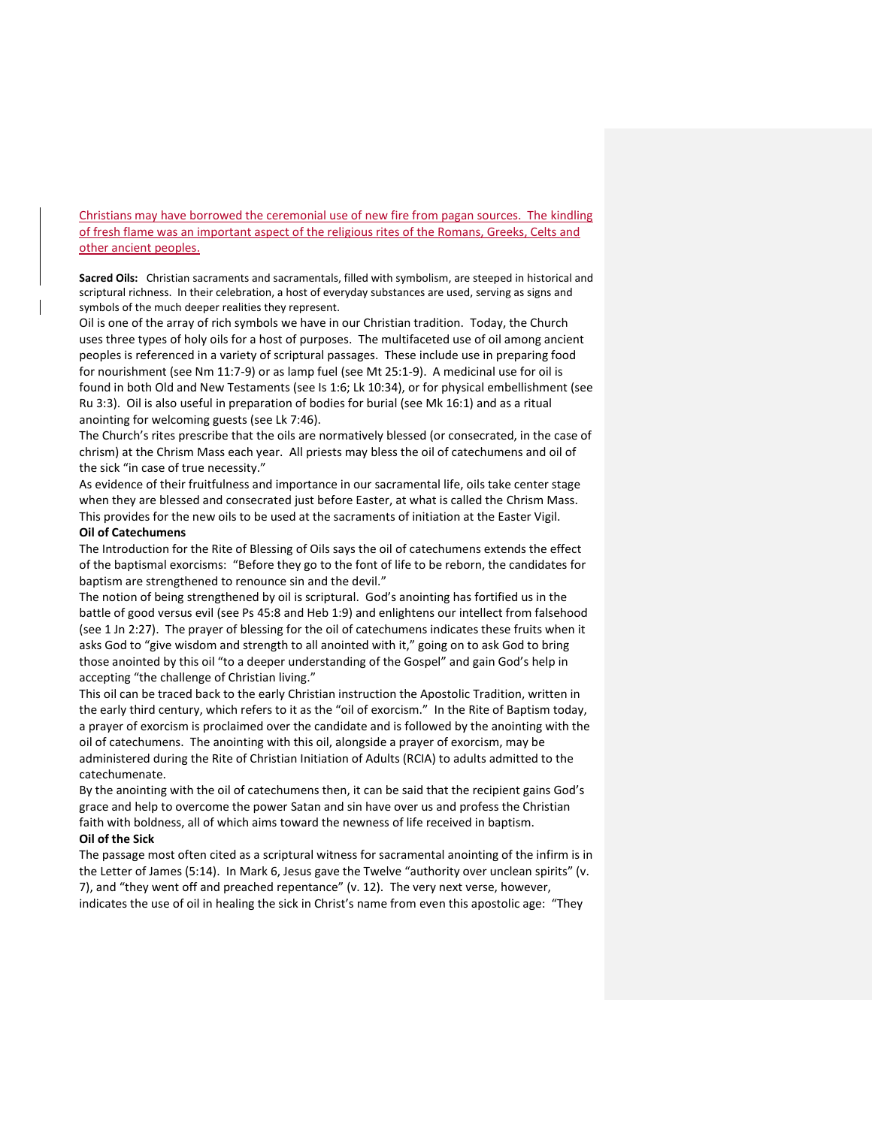Christians may have borrowed the ceremonial use of new fire from pagan sources. The kindling of fresh flame was an important aspect of the religious rites of the Romans, Greeks, Celts and other ancient peoples.

**Sacred Oils:** Christian sacraments and sacramentals, filled with symbolism, are steeped in historical and scriptural richness. In their celebration, a host of everyday substances are used, serving as signs and symbols of the much deeper realities they represent.

Oil is one of the array of rich symbols we have in our Christian tradition. Today, the Church uses three types of holy oils for a host of purposes. The multifaceted use of oil among ancient peoples is referenced in a variety of scriptural passages. These include use in preparing food for nourishment (see Nm 11:7-9) or as lamp fuel (see Mt 25:1-9). A medicinal use for oil is found in both Old and New Testaments (see Is 1:6; Lk 10:34), or for physical embellishment (see Ru 3:3). Oil is also useful in preparation of bodies for burial (see Mk 16:1) and as a ritual anointing for welcoming guests (see Lk 7:46).

The Church's rites prescribe that the oils are normatively blessed (or consecrated, in the case of chrism) at the Chrism Mass each year. All priests may bless the oil of catechumens and oil of the sick "in case of true necessity."

As evidence of their fruitfulness and importance in our sacramental life, oils take center stage when they are blessed and consecrated just before Easter, at what is called the Chrism Mass. This provides for the new oils to be used at the sacraments of initiation at the Easter Vigil.

#### **Oil of Catechumens**

The Introduction for the Rite of Blessing of Oils says the oil of catechumens extends the effect of the baptismal exorcisms: "Before they go to the font of life to be reborn, the candidates for baptism are strengthened to renounce sin and the devil."

The notion of being strengthened by oil is scriptural. God's anointing has fortified us in the battle of good versus evil (see Ps 45:8 and Heb 1:9) and enlightens our intellect from falsehood (see 1 Jn 2:27). The prayer of blessing for the oil of catechumens indicates these fruits when it asks God to "give wisdom and strength to all anointed with it," going on to ask God to bring those anointed by this oil "to a deeper understanding of the Gospel" and gain God's help in accepting "the challenge of Christian living."

This oil can be traced back to the early Christian instruction the Apostolic Tradition, written in the early third century, which refers to it as the "oil of exorcism." In the Rite of Baptism today, a prayer of exorcism is proclaimed over the candidate and is followed by the anointing with the oil of catechumens. The anointing with this oil, alongside a prayer of exorcism, may be administered during the Rite of Christian Initiation of Adults (RCIA) to adults admitted to the catechumenate.

By the anointing with the oil of catechumens then, it can be said that the recipient gains God's grace and help to overcome the power Satan and sin have over us and profess the Christian faith with boldness, all of which aims toward the newness of life received in baptism.

## **Oil of the Sick**

The passage most often cited as a scriptural witness for sacramental anointing of the infirm is in the Letter of James (5:14). In Mark 6, Jesus gave the Twelve "authority over unclean spirits" (v. 7), and "they went off and preached repentance" (v. 12). The very next verse, however, indicates the use of oil in healing the sick in Christ's name from even this apostolic age: "They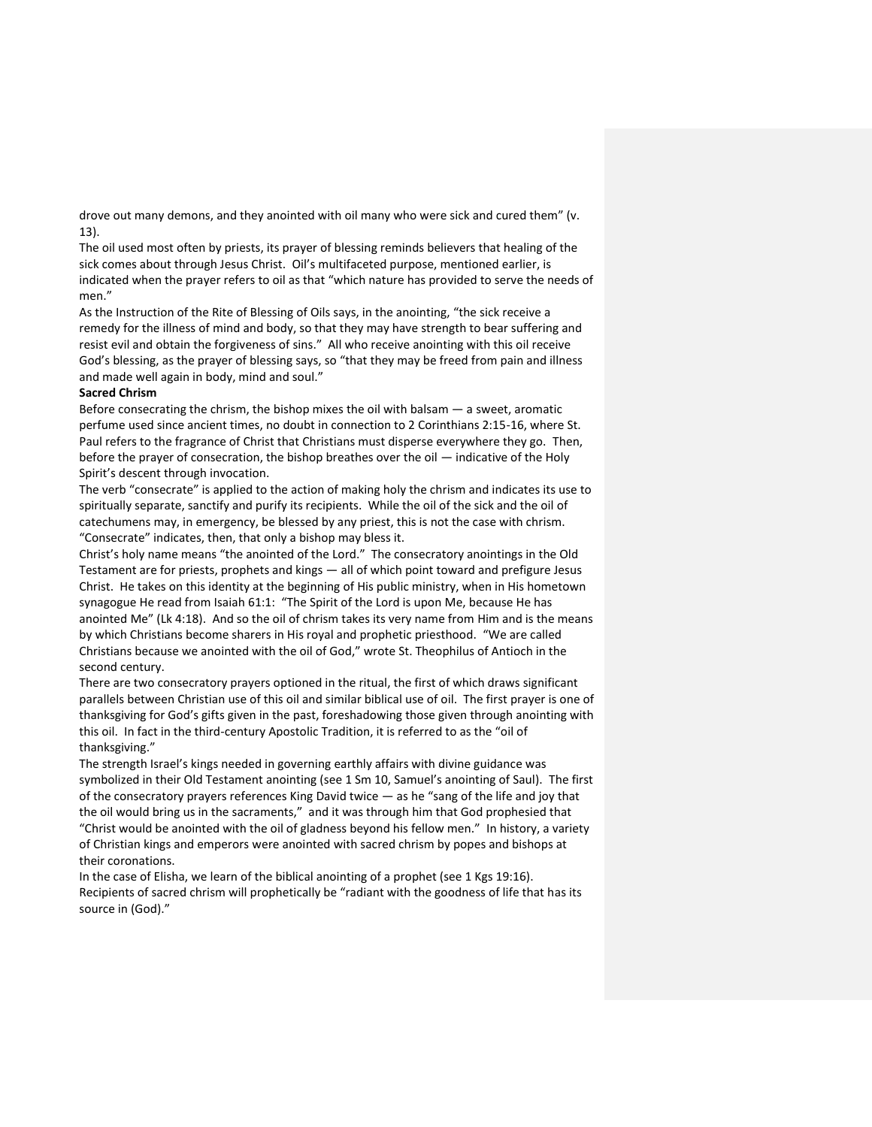drove out many demons, and they anointed with oil many who were sick and cured them" (v. 13).

The oil used most often by priests, its prayer of blessing reminds believers that healing of the sick comes about through Jesus Christ. Oil's multifaceted purpose, mentioned earlier, is indicated when the prayer refers to oil as that "which nature has provided to serve the needs of men."

As the Instruction of the Rite of Blessing of Oils says, in the anointing, "the sick receive a remedy for the illness of mind and body, so that they may have strength to bear suffering and resist evil and obtain the forgiveness of sins." All who receive anointing with this oil receive God's blessing, as the prayer of blessing says, so "that they may be freed from pain and illness and made well again in body, mind and soul."

#### **Sacred Chrism**

Before consecrating the chrism, the bishop mixes the oil with balsam  $-$  a sweet, aromatic perfume used since ancient times, no doubt in connection to 2 Corinthians 2:15-16, where St. Paul refers to the fragrance of Christ that Christians must disperse everywhere they go. Then, before the prayer of consecration, the bishop breathes over the oil — indicative of the Holy Spirit's descent through invocation.

The verb "consecrate" is applied to the action of making holy the chrism and indicates its use to spiritually separate, sanctify and purify its recipients. While the oil of the sick and the oil of catechumens may, in emergency, be blessed by any priest, this is not the case with chrism. "Consecrate" indicates, then, that only a bishop may bless it.

Christ's holy name means "the anointed of the Lord." The consecratory anointings in the Old Testament are for priests, prophets and kings — all of which point toward and prefigure Jesus Christ. He takes on this identity at the beginning of His public ministry, when in His hometown synagogue He read from Isaiah 61:1: "The Spirit of the Lord is upon Me, because He has anointed Me" (Lk 4:18). And so the oil of chrism takes its very name from Him and is the means by which Christians become sharers in His royal and prophetic priesthood. "We are called Christians because we anointed with the oil of God," wrote St. Theophilus of Antioch in the second century.

There are two consecratory prayers optioned in the ritual, the first of which draws significant parallels between Christian use of this oil and similar biblical use of oil. The first prayer is one of thanksgiving for God's gifts given in the past, foreshadowing those given through anointing with this oil. In fact in the third-century Apostolic Tradition, it is referred to as the "oil of thanksgiving."

The strength Israel's kings needed in governing earthly affairs with divine guidance was symbolized in their Old Testament anointing (see 1 Sm 10, Samuel's anointing of Saul). The first of the consecratory prayers references King David twice — as he "sang of the life and joy that the oil would bring us in the sacraments," and it was through him that God prophesied that "Christ would be anointed with the oil of gladness beyond his fellow men." In history, a variety of Christian kings and emperors were anointed with sacred chrism by popes and bishops at their coronations.

In the case of Elisha, we learn of the biblical anointing of a prophet (see 1 Kgs 19:16). Recipients of sacred chrism will prophetically be "radiant with the goodness of life that has its source in (God)."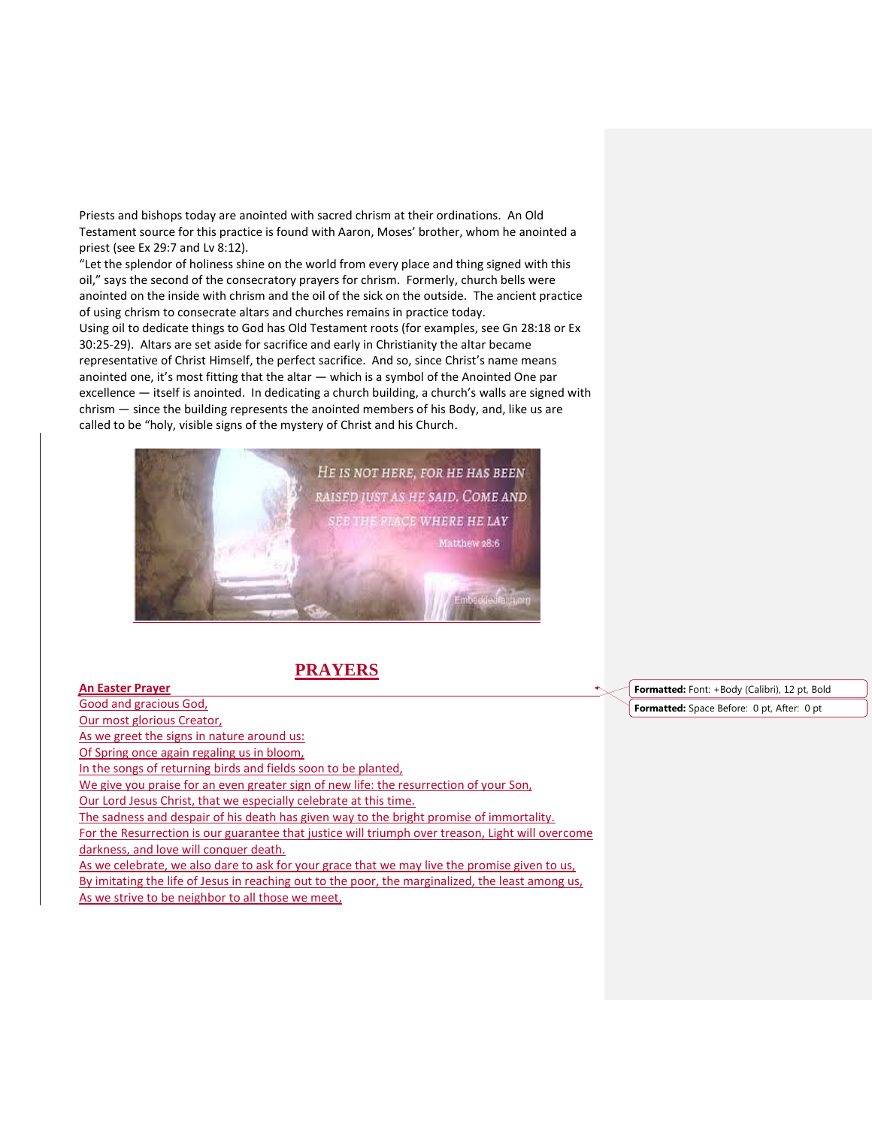Priests and bishops today are anointed with sacred chrism at their ordinations. An Old Testament source for this practice is found with Aaron, Moses' brother, whom he anointed a priest (see Ex 29:7 and Lv 8:12).

"Let the splendor of holiness shine on the world from every place and thing signed with this oil," says the second of the consecratory prayers for chrism. Formerly, church bells were anointed on the inside with chrism and the oil of the sick on the outside. The ancient practice of using chrism to consecrate altars and churches remains in practice today. Using oil to dedicate things to God has Old Testament roots (for examples, see Gn 28:18 or Ex 30:25-29). Altars are set aside for sacrifice and early in Christianity the altar became representative of Christ Himself, the perfect sacrifice. And so, since Christ's name means anointed one, it's most fitting that the altar — which is a symbol of the Anointed One par excellence — itself is anointed. In dedicating a church building, a church's walls are signed with chrism — since the building represents the anointed members of his Body, and, like us are called to be "holy, visible signs of the mystery of Christ and his Church.



# **PRAYERS**

## **An Easter Prayer** Good and gracious God, Our most glorious Creator, As we greet the signs in nature around us: Of Spring once again regaling us in bloom, In the songs of returning birds and fields soon to be planted, We give you praise for an even greater sign of new life: the resurrection of your Son, Our Lord Jesus Christ, that we especially celebrate at this time. The sadness and despair of his death has given way to the bright promise of immortality. For the Resurrection is our guarantee that justice will triumph over treason, Light will overcome darkness, and love will conquer death. As we celebrate, we also dare to ask for your grace that we may live the promise given to us, By imitating the life of Jesus in reaching out to the poor, the marginalized, the least among us, As we strive to be neighbor to all those we meet,

**Formatted:** Font: +Body (Calibri), 12 pt, Bold **Formatted:** Space Before: 0 pt, After: 0 pt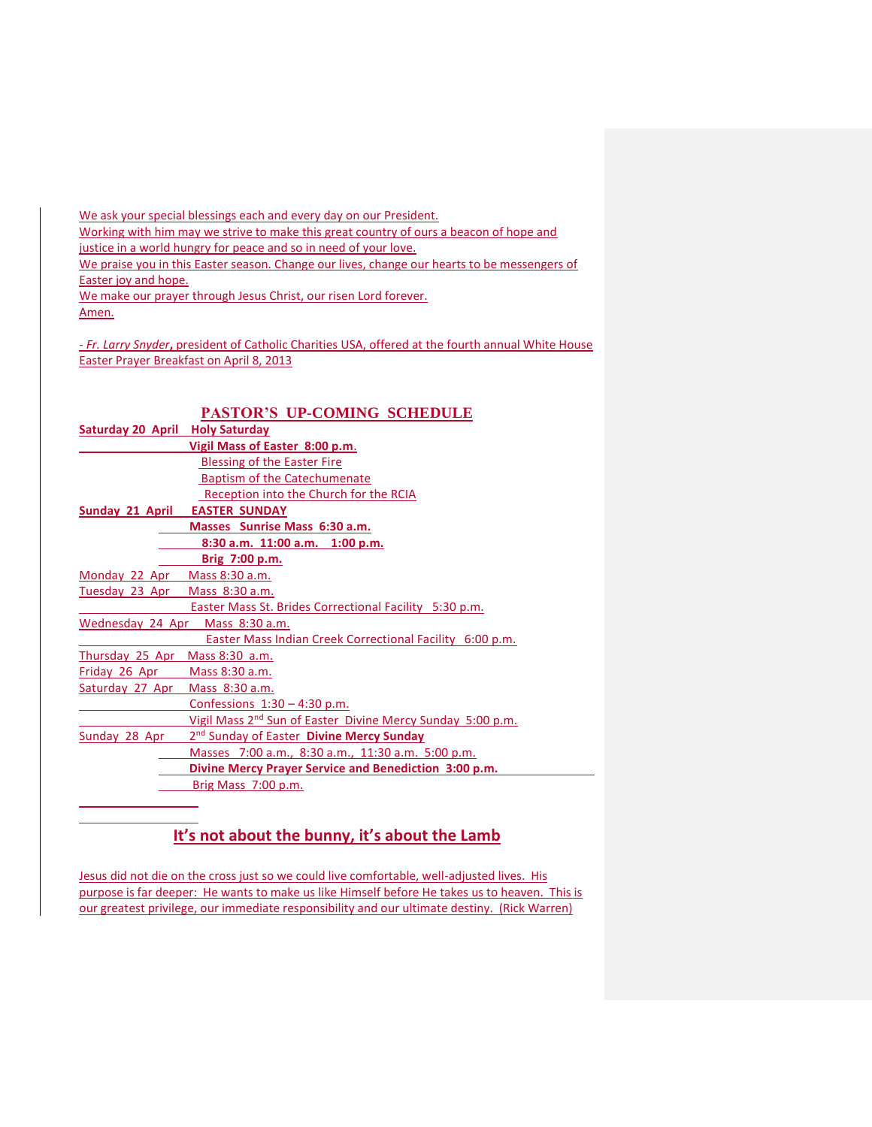We ask your special blessings each and every day on our President. Working with him may we strive to make this great country of ours a beacon of hope and justice in a world hungry for peace and so in need of your love. We praise you in this Easter season. Change our lives, change our hearts to be messengers of Easter joy and hope. We make our prayer through Jesus Christ, our risen Lord forever. Amen.

*- Fr. Larry Snyder***,** president of Catholic Charities USA, offered at the fourth annual White House Easter Prayer Breakfast on April 8, 2013

|                                        | <b>PASTOR'S UP-COMING SCHEDULE</b>                                     |
|----------------------------------------|------------------------------------------------------------------------|
| <b>Saturday 20 April Holy Saturday</b> |                                                                        |
|                                        | Vigil Mass of Easter 8:00 p.m.                                         |
|                                        | <b>Blessing of the Easter Fire</b>                                     |
|                                        | <b>Baptism of the Catechumenate</b>                                    |
|                                        | Reception into the Church for the RCIA                                 |
| <b>Sunday 21 April</b>                 | <b>EASTER SUNDAY</b>                                                   |
|                                        | Masses Sunrise Mass 6:30 a.m.                                          |
|                                        | 8:30 a.m. 11:00 a.m. 1:00 p.m.                                         |
|                                        | Brig 7:00 p.m.                                                         |
| Monday 22 Apr                          | Mass 8:30 a.m.                                                         |
| Tuesday 23 Apr                         | Mass 8:30 a.m.                                                         |
|                                        | Easter Mass St. Brides Correctional Facility 5:30 p.m.                 |
| Wednesday 24 Apr<br>Mass 8:30 a.m.     |                                                                        |
|                                        | Easter Mass Indian Creek Correctional Facility 6:00 p.m.               |
| Thursday 25 Apr Mass 8:30 a.m.         |                                                                        |
| Friday 26 Apr                          | Mass 8:30 a.m.                                                         |
| Saturday 27 Apr                        | Mass 8:30 a.m.                                                         |
|                                        | Confessions $1:30 - 4:30$ p.m.                                         |
|                                        | Vigil Mass 2 <sup>nd</sup> Sun of Easter Divine Mercy Sunday 5:00 p.m. |
| Sunday 28 Apr                          | 2 <sup>nd</sup> Sunday of Easter <b>Divine Mercy Sunday</b>            |
|                                        | Masses 7:00 a.m., 8:30 a.m., 11:30 a.m. 5:00 p.m.                      |
|                                        | Divine Mercy Prayer Service and Benediction 3:00 p.m.                  |
|                                        | Brig Mass 7:00 p.m.                                                    |
|                                        |                                                                        |

## **It's not about the bunny, it's about the Lamb**

Jesus did not die on the cross just so we could live comfortable, well-adjusted lives. His purpose is far deeper: He wants to make us like Himself before He takes us to heaven. This is our greatest privilege, our immediate responsibility and our ultimate destiny. (Rick Warren)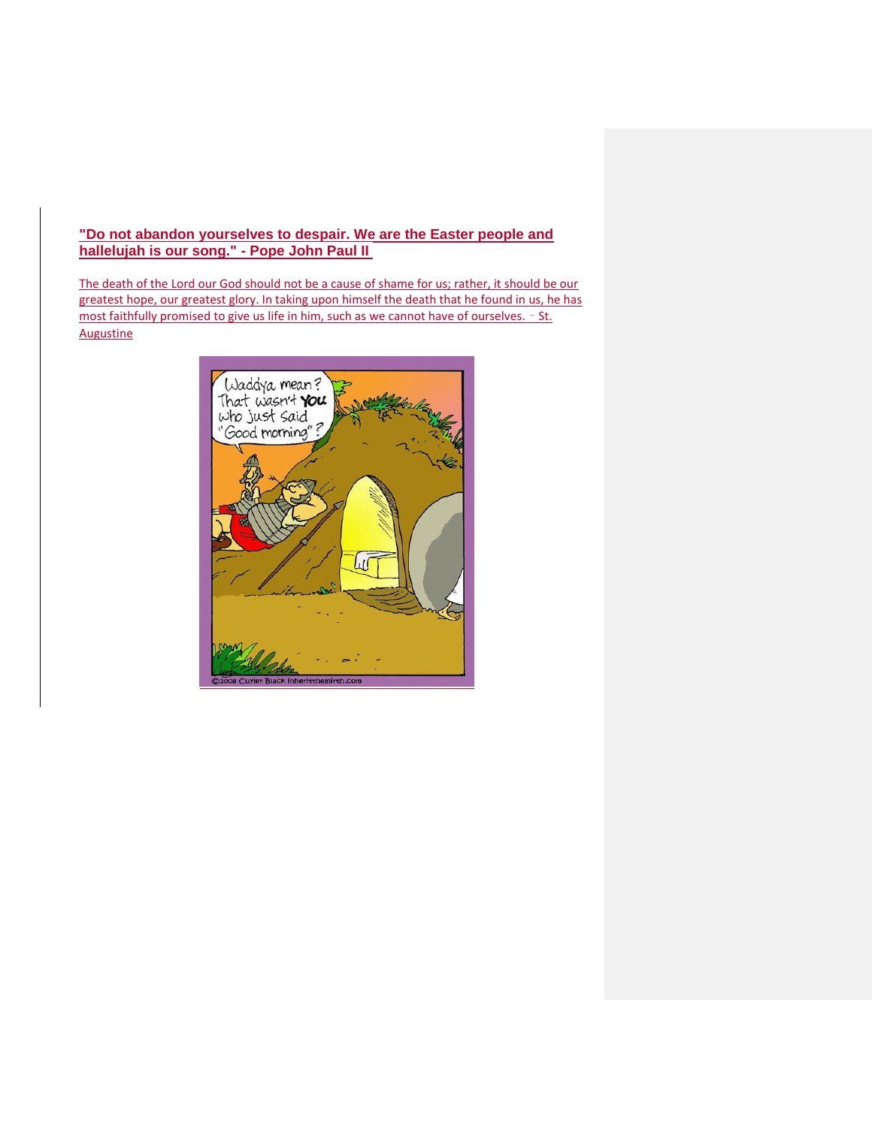## **"Do not abandon yourselves to despair. We are the Easter people and hallelujah is our song." - Pope John Paul II**

The death of the Lord our God should not be a cause of shame for us; rather, it should be our greatest hope, our greatest glory. In taking upon himself the death that he found in us, he has most faithfully promised to give us life in him, such as we cannot have of ourselves. - St. Augustine